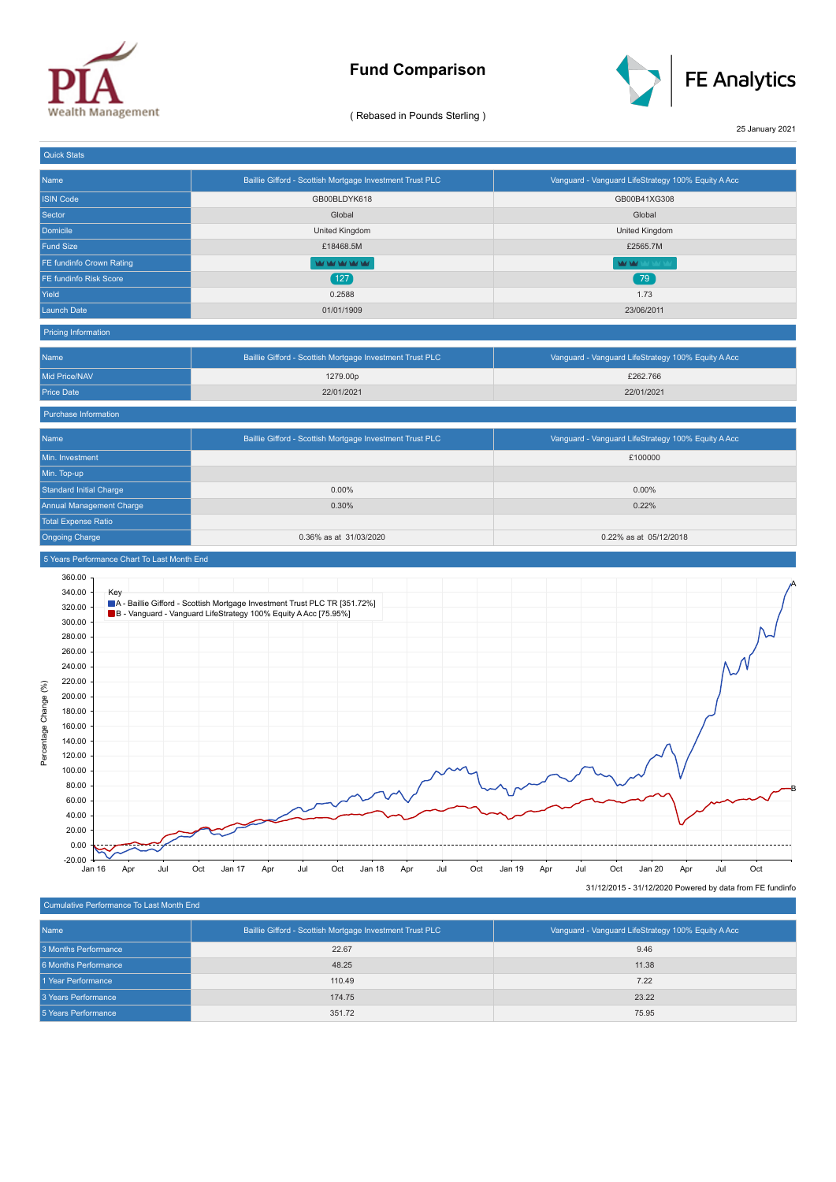

## **Fund Comparison**



( Rebased in Pounds Sterling )

25 January 2021

| <b>Quick Stats</b>                          |                                                                                                                                              |                                                            |
|---------------------------------------------|----------------------------------------------------------------------------------------------------------------------------------------------|------------------------------------------------------------|
| Name                                        | Baillie Gifford - Scottish Mortgage Investment Trust PLC                                                                                     | Vanguard - Vanguard LifeStrategy 100% Equity A Acc         |
| <b>ISIN Code</b>                            | GB00BLDYK618                                                                                                                                 | GB00B41XG308                                               |
| Sector                                      | Global                                                                                                                                       | Global                                                     |
| Domicile                                    | United Kingdom                                                                                                                               | United Kingdom                                             |
| <b>Fund Size</b>                            | £18468.5M                                                                                                                                    | £2565.7M                                                   |
| FE fundinfo Crown Rating                    | <b>WIMPOUL</b>                                                                                                                               | <b>MAY MAY YOUR</b>                                        |
| FE fundinfo Risk Score                      | (127)                                                                                                                                        | 79 <sup>°</sup>                                            |
| Yield                                       | 0.2588                                                                                                                                       | 1.73                                                       |
| <b>Launch Date</b>                          | 01/01/1909                                                                                                                                   | 23/06/2011                                                 |
| <b>Pricing Information</b>                  |                                                                                                                                              |                                                            |
| Name                                        | Baillie Gifford - Scottish Mortgage Investment Trust PLC                                                                                     | Vanguard - Vanguard LifeStrategy 100% Equity A Acc         |
| Mid Price/NAV                               | 1279.00p                                                                                                                                     | £262.766                                                   |
| <b>Price Date</b>                           | 22/01/2021                                                                                                                                   | 22/01/2021                                                 |
| Purchase Information                        |                                                                                                                                              |                                                            |
| Name                                        | Baillie Gifford - Scottish Mortgage Investment Trust PLC                                                                                     | Vanguard - Vanguard LifeStrategy 100% Equity A Acc         |
| Min. Investment                             |                                                                                                                                              | £100000                                                    |
| Min. Top-up                                 |                                                                                                                                              |                                                            |
| <b>Standard Initial Charge</b>              | 0.00%                                                                                                                                        | 0.00%                                                      |
| Annual Management Charge                    | 0.30%                                                                                                                                        | 0.22%                                                      |
| <b>Total Expense Ratio</b>                  |                                                                                                                                              |                                                            |
| <b>Ongoing Charge</b>                       | 0.36% as at 31/03/2020                                                                                                                       | 0.22% as at 05/12/2018                                     |
| 5 Years Performance Chart To Last Month End |                                                                                                                                              |                                                            |
| 360.00                                      |                                                                                                                                              |                                                            |
| 340.00<br>Key                               |                                                                                                                                              |                                                            |
| 320.00                                      | A - Baillie Gifford - Scottish Mortgage Investment Trust PLC TR [351.72%]<br>B - Vanguard - Vanguard LifeStrategy 100% Equity A Acc [75.95%] |                                                            |
| 300.00                                      |                                                                                                                                              |                                                            |
| 280.00                                      |                                                                                                                                              |                                                            |
| 260.00                                      |                                                                                                                                              |                                                            |
| 240.00                                      |                                                                                                                                              |                                                            |
| 220.00<br>Percentage Change (%)<br>200.00   |                                                                                                                                              |                                                            |
| 180.00                                      |                                                                                                                                              |                                                            |
| 160.00                                      |                                                                                                                                              |                                                            |
| 140.00                                      |                                                                                                                                              |                                                            |
| 120.00                                      |                                                                                                                                              |                                                            |
| 100.00                                      |                                                                                                                                              |                                                            |
| 80.00                                       |                                                                                                                                              |                                                            |
| 60.00                                       |                                                                                                                                              |                                                            |
| 40.00                                       |                                                                                                                                              |                                                            |
| 20.00                                       |                                                                                                                                              |                                                            |
| 0.00                                        |                                                                                                                                              |                                                            |
| $-20.00$<br>Jul<br>Jan 16<br>Apr            | Oct<br>Oct<br>Jan 17<br>Jul<br>Oct<br>Jan 18<br>Jul<br>Apr<br>Apr                                                                            | Jan 19<br>Jul<br>Oct<br>Jan 20<br>Apr<br>Jul<br>Oct<br>Apr |
|                                             |                                                                                                                                              | 31/12/2015 - 31/12/2020 Powered by data from FE fundinfo   |

Cumulative Performance To Last Month End

31/12/2015 - 31/12/2020 Powered by data from FE fundinfo

| Name                 | Baillie Gifford - Scottish Mortgage Investment Trust PLC | Vanguard - Vanguard LifeStrategy 100% Equity A Acc |
|----------------------|----------------------------------------------------------|----------------------------------------------------|
| 3 Months Performance | 22.67                                                    | 9.46                                               |
| 6 Months Performance | 48.25                                                    | 11.38                                              |
| 1 Year Performance   | 110.49                                                   | 7.22                                               |
| 3 Years Performance  | 174.75                                                   | 23.22                                              |
| 5 Years Performance  | 351.72                                                   | 75.95                                              |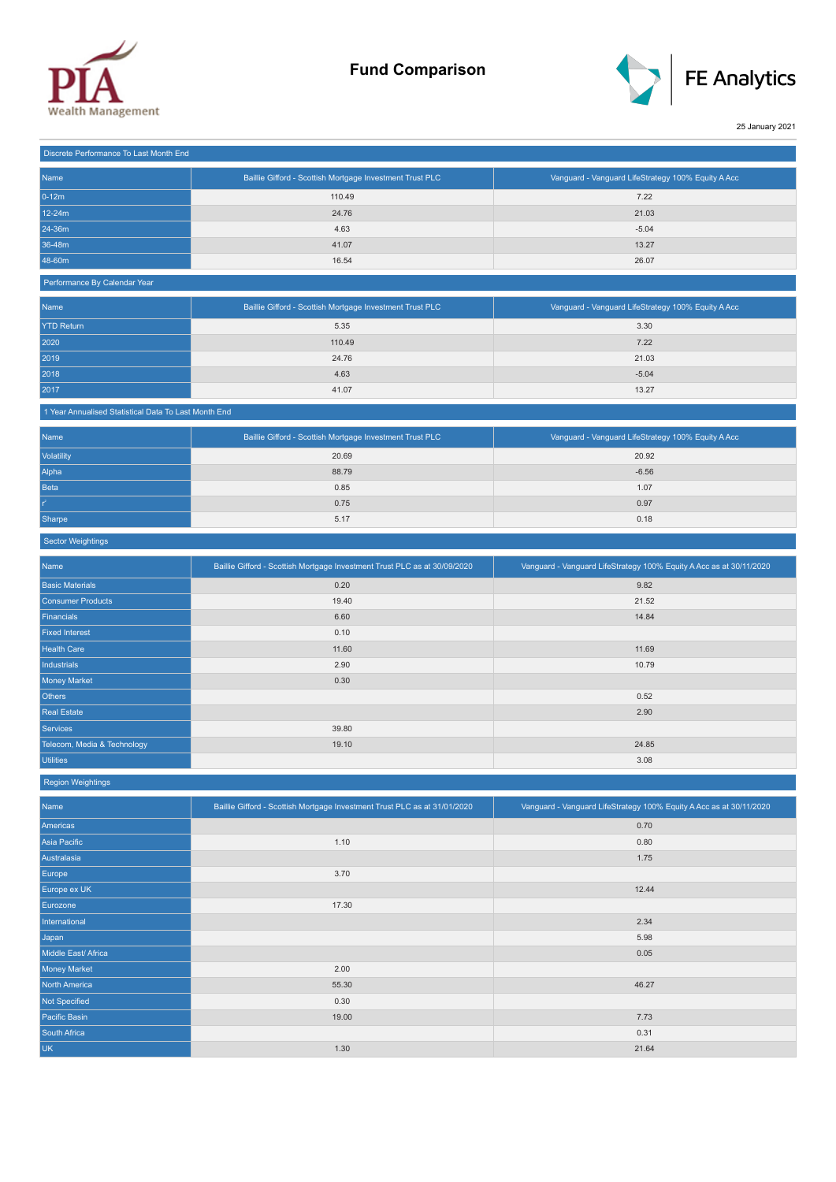



25 January 2021

| Discrete Performance To Last Month End |                                                          |                                                    |
|----------------------------------------|----------------------------------------------------------|----------------------------------------------------|
| Name                                   | Baillie Gifford - Scottish Mortgage Investment Trust PLC | Vanguard - Vanguard LifeStrategy 100% Equity A Acc |
| $0-12m$                                | 110.49                                                   | 7.22                                               |
| 12-24m                                 | 24.76                                                    | 21.03                                              |
| 24-36m                                 | 4.63                                                     | $-5.04$                                            |
| 36-48m                                 | 41.07                                                    | 13.27                                              |
| 48-60m                                 | 16.54                                                    | 26.07                                              |

## Performance By Calendar Year

| Name              | Baillie Gifford - Scottish Mortgage Investment Trust PLC | Vanguard - Vanguard LifeStrategy 100% Equity A Acc |
|-------------------|----------------------------------------------------------|----------------------------------------------------|
| <b>YTD Return</b> | 5.35                                                     | 3.30                                               |
| 2020              | 110.49                                                   | 7.22                                               |
| 2019              | 24.76                                                    | 21.03                                              |
| 2018              | 4.63                                                     | $-5.04$                                            |
| 2017              | 41.07                                                    | 13.27                                              |

## 1 Year Annualised Statistical Data To Last Month End

| Name        | Baillie Gifford - Scottish Mortgage Investment Trust PLC | Vanguard - Vanguard LifeStrategy 100% Equity A Acc |
|-------------|----------------------------------------------------------|----------------------------------------------------|
| Volatility  | 20.69                                                    | 20.92                                              |
| Alpha       | 88.79                                                    | $-6.56$                                            |
| <b>Beta</b> | 0.85                                                     | 1.07                                               |
| $r^2$       | 0.75                                                     | 0.97                                               |
| Sharpe      | 5.17                                                     | 0.18                                               |

## Sector Weightings

| Name                        | Baillie Gifford - Scottish Mortgage Investment Trust PLC as at 30/09/2020 | Vanguard - Vanguard LifeStrategy 100% Equity A Acc as at 30/11/2020 |
|-----------------------------|---------------------------------------------------------------------------|---------------------------------------------------------------------|
| <b>Basic Materials</b>      | 0.20                                                                      | 9.82                                                                |
| <b>Consumer Products</b>    | 19.40                                                                     | 21.52                                                               |
| Financials                  | 6.60                                                                      | 14.84                                                               |
| <b>Fixed Interest</b>       | 0.10                                                                      |                                                                     |
| <b>Health Care</b>          | 11.60                                                                     | 11.69                                                               |
| <b>Industrials</b>          | 2.90                                                                      | 10.79                                                               |
| Money Market                | 0.30                                                                      |                                                                     |
| Others                      |                                                                           | 0.52                                                                |
| <b>Real Estate</b>          |                                                                           | 2.90                                                                |
| Services                    | 39.80                                                                     |                                                                     |
| Telecom, Media & Technology | 19.10                                                                     | 24.85                                                               |
| <b>Utilities</b>            |                                                                           | 3.08                                                                |

Region Weightings

| Name                 | Baillie Gifford - Scottish Mortgage Investment Trust PLC as at 31/01/2020 | Vanguard - Vanguard LifeStrategy 100% Equity A Acc as at 30/11/2020 |
|----------------------|---------------------------------------------------------------------------|---------------------------------------------------------------------|
| Americas             |                                                                           | 0.70                                                                |
| Asia Pacific         | 1.10                                                                      | 0.80                                                                |
| Australasia          |                                                                           | 1.75                                                                |
| Europe               | 3.70                                                                      |                                                                     |
| Europe ex UK         |                                                                           | 12.44                                                               |
| Eurozone             | 17.30                                                                     |                                                                     |
| International        |                                                                           | 2.34                                                                |
| Japan                |                                                                           | 5.98                                                                |
| Middle East/ Africa  |                                                                           | 0.05                                                                |
| <b>Money Market</b>  | 2.00                                                                      |                                                                     |
| <b>North America</b> | 55.30                                                                     | 46.27                                                               |
| Not Specified        | 0.30                                                                      |                                                                     |
| Pacific Basin        | 19.00                                                                     | 7.73                                                                |
| South Africa         |                                                                           | 0.31                                                                |
| <b>UK</b>            | 1.30                                                                      | 21.64                                                               |